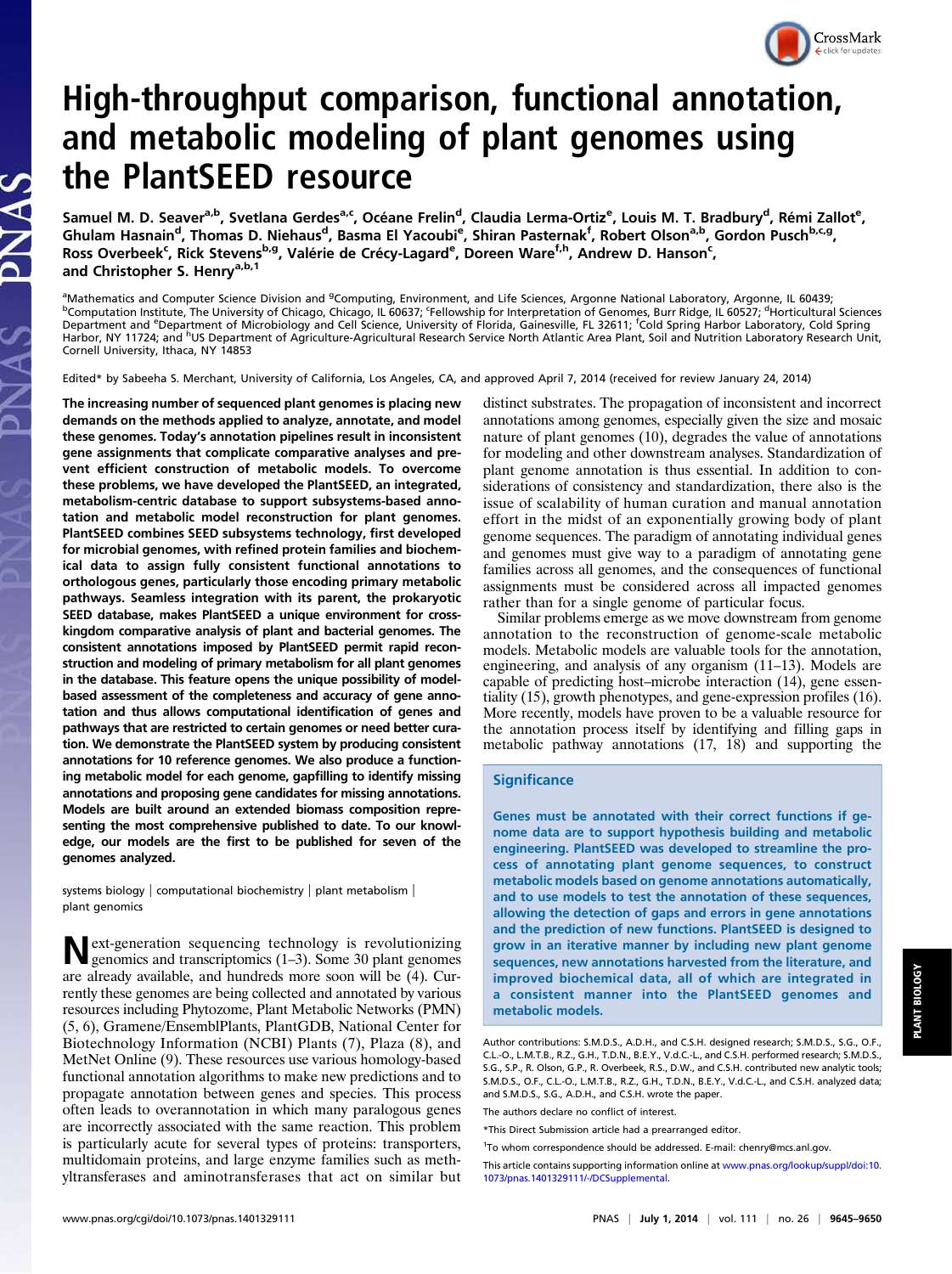# High-throughput comparison, functional annotation, and metabolic modeling of plant genomes using the PlantSEED resource

Samuel M. D. Seaver<sup>a,b</sup>, Svetlana Gerdes<sup>a,c</sup>, Océane Frelin<sup>d</sup>, Claudia Lerma-Ortiz<sup>e</sup>, Louis M. T. Bradbury<sup>d</sup>, Rémi Zallot<sup>e</sup>, Ghulam Hasnain<sup>d</sup>, Thomas D. Niehaus<sup>d</sup>, Basma El Yacoubi<sup>e</sup>, Shiran Pasternak<sup>f</sup>, Robert Olson<sup>a,b</sup>, Gordon Pusch<sup>b,c,g</sup>, Ross Overbeek<sup>c</sup>, Rick Stevens<sup>b,g</sup>, Valérie de Crécy-Lagard<sup>e</sup>, Doreen Ware<sup>f,h</sup>, Andrew D. Hanson<sup>c</sup>, and Christopher S. Henry<sup>a,b,1</sup>

a<br>Anathematics and Computer Science Division and <sup>g</sup>Computing, Environment, and Life Sciences, Argonne National Laboratory, Argonne, IL 60439;<br>PComputation Institute The University of Chicago, Chicago, IL 60637: Sellowship Computation Institute, The University of Chicago, Chicago, IL 60637; <sup>c</sup>Fellowship for Interpretation of Genomes, Burr Ridge, IL 60527; <sup>d</sup>Horticultural Sciences Department and <sup>e</sup>Department of Microbiology and Cell Science, University of Florida, Gainesville, FL 32611; <sup>f</sup>Cold Spring Harbor Laboratory, Cold Spring Harbor, NY 11724; and <sup>h</sup>US Department of Agriculture-Agricultural Research Service North Atlantic Area Plant, Soil and Nutrition Laboratory Research Unit, Cornell University, Ithaca, NY 14853

Edited\* by Sabeeha S. Merchant, University of California, Los Angeles, CA, and approved April 7, 2014 (received for review January 24, 2014)

The increasing number of sequenced plant genomes is placing new demands on the methods applied to analyze, annotate, and model these genomes. Today's annotation pipelines result in inconsistent gene assignments that complicate comparative analyses and prevent efficient construction of metabolic models. To overcome these problems, we have developed the PlantSEED, an integrated, metabolism-centric database to support subsystems-based annotation and metabolic model reconstruction for plant genomes. PlantSEED combines SEED subsystems technology, first developed for microbial genomes, with refined protein families and biochemical data to assign fully consistent functional annotations to orthologous genes, particularly those encoding primary metabolic pathways. Seamless integration with its parent, the prokaryotic SEED database, makes PlantSEED a unique environment for crosskingdom comparative analysis of plant and bacterial genomes. The consistent annotations imposed by PlantSEED permit rapid reconstruction and modeling of primary metabolism for all plant genomes in the database. This feature opens the unique possibility of modelbased assessment of the completeness and accuracy of gene annotation and thus allows computational identification of genes and pathways that are restricted to certain genomes or need better curation. We demonstrate the PlantSEED system by producing consistent annotations for 10 reference genomes. We also produce a functioning metabolic model for each genome, gapfilling to identify missing annotations and proposing gene candidates for missing annotations. Models are built around an extended biomass composition representing the most comprehensive published to date. To our knowledge, our models are the first to be published for seven of the genomes analyzed.

systems biology | computational biochemistry | plant metabolism | plant genomics

Next-generation sequencing technology is revolutionizing<br>genomics and transmittently (1.0) genomics and transcriptomics (1–3). Some 30 plant genomes are already available, and hundreds more soon will be (4). Currently these genomes are being collected and annotated by various resources including Phytozome, Plant Metabolic Networks (PMN) (5, 6), Gramene/EnsemblPlants, PlantGDB, National Center for Biotechnology Information (NCBI) Plants (7), Plaza (8), and MetNet Online (9). These resources use various homology-based functional annotation algorithms to make new predictions and to propagate annotation between genes and species. This process often leads to overannotation in which many paralogous genes are incorrectly associated with the same reaction. This problem is particularly acute for several types of proteins: transporters, multidomain proteins, and large enzyme families such as methyltransferases and aminotransferases that act on similar but distinct substrates. The propagation of inconsistent and incorrect annotations among genomes, especially given the size and mosaic nature of plant genomes (10), degrades the value of annotations for modeling and other downstream analyses. Standardization of plant genome annotation is thus essential. In addition to considerations of consistency and standardization, there also is the issue of scalability of human curation and manual annotation effort in the midst of an exponentially growing body of plant genome sequences. The paradigm of annotating individual genes and genomes must give way to a paradigm of annotating gene families across all genomes, and the consequences of functional assignments must be considered across all impacted genomes rather than for a single genome of particular focus.

Similar problems emerge as we move downstream from genome annotation to the reconstruction of genome-scale metabolic models. Metabolic models are valuable tools for the annotation, engineering, and analysis of any organism (11–13). Models are capable of predicting host–microbe interaction (14), gene essentiality (15), growth phenotypes, and gene-expression profiles (16). More recently, models have proven to be a valuable resource for the annotation process itself by identifying and filling gaps in metabolic pathway annotations (17, 18) and supporting the

### **Significance**

Genes must be annotated with their correct functions if genome data are to support hypothesis building and metabolic engineering. PlantSEED was developed to streamline the process of annotating plant genome sequences, to construct metabolic models based on genome annotations automatically, and to use models to test the annotation of these sequences, allowing the detection of gaps and errors in gene annotations and the prediction of new functions. PlantSEED is designed to grow in an iterative manner by including new plant genome sequences, new annotations harvested from the literature, and improved biochemical data, all of which are integrated in a consistent manner into the PlantSEED genomes and metabolic models.



Author contributions: S.M.D.S., A.D.H., and C.S.H. designed research; S.M.D.S., S.G., O.F., C.L.-O., L.M.T.B., R.Z., G.H., T.D.N., B.E.Y., V.d.C.-L., and C.S.H. performed research; S.M.D.S., S.G., S.P., R. Olson, G.P., R. Overbeek, R.S., D.W., and C.S.H. contributed new analytic tools; S.M.D.S., O.F., C.L.-O., L.M.T.B., R.Z., G.H., T.D.N., B.E.Y., V.d.C.-L., and C.S.H. analyzed data; and S.M.D.S., S.G., A.D.H., and C.S.H. wrote the paper.

The authors declare no conflict of interest

<sup>\*</sup>This Direct Submission article had a prearranged editor.

<sup>&</sup>lt;sup>1</sup>To whom correspondence should be addressed. E-mail: [chenry@mcs.anl.gov](mailto:chenry@mcs.anl.gov).

This article contains supporting information online at [www.pnas.org/lookup/suppl/doi:10.](http://www.pnas.org/lookup/suppl/doi:10.1073/pnas.1401329111/-/DCSupplemental) [1073/pnas.1401329111/-/DCSupplemental](http://www.pnas.org/lookup/suppl/doi:10.1073/pnas.1401329111/-/DCSupplemental).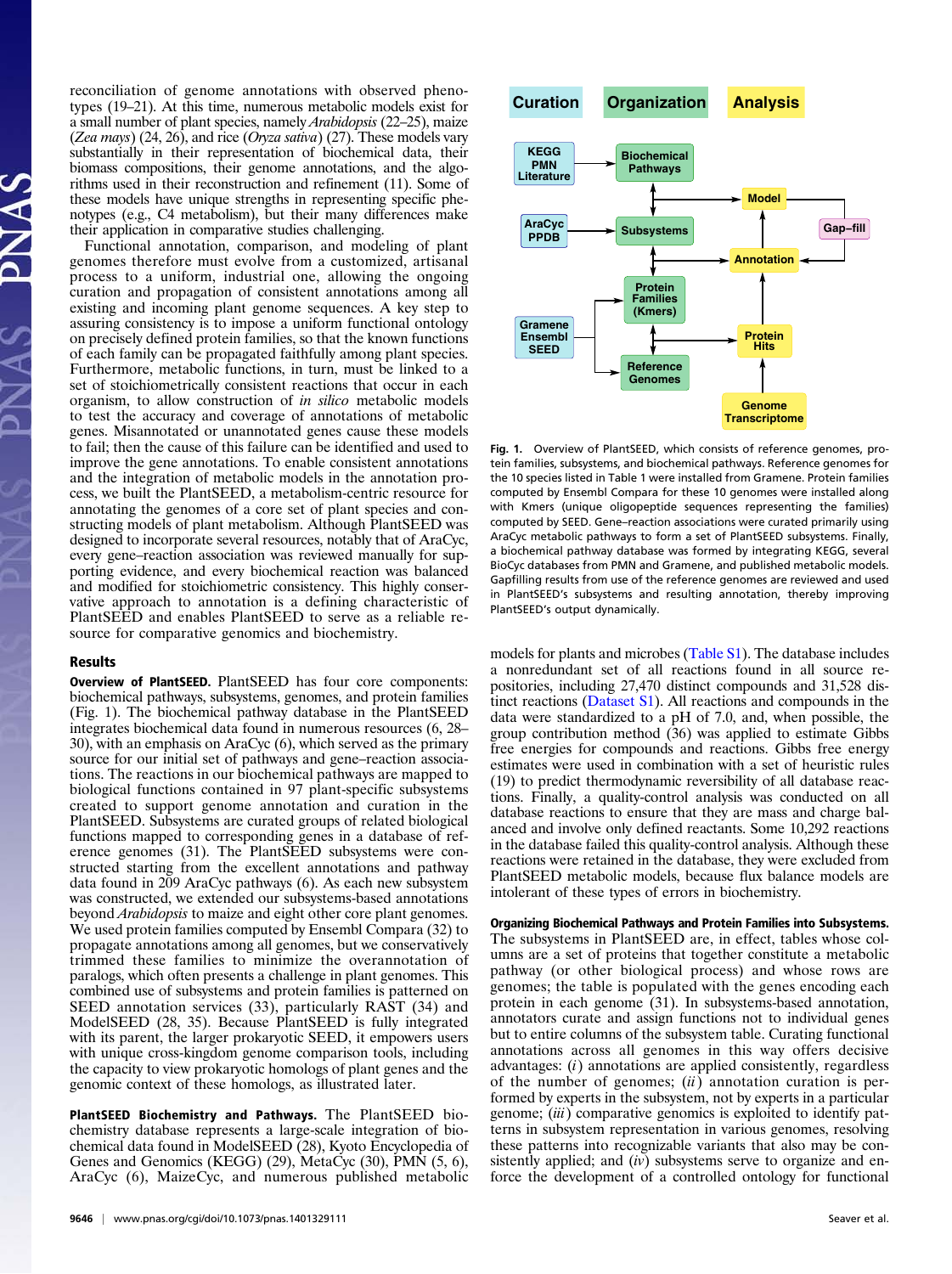reconciliation of genome annotations with observed phenotypes (19–21). At this time, numerous metabolic models exist for a small number of plant species, namely Arabidopsis (22–25), maize (Zea mays) (24, 26), and rice (Oryza sativa) (27). These models vary substantially in their representation of biochemical data, their biomass compositions, their genome annotations, and the algorithms used in their reconstruction and refinement (11). Some of these models have unique strengths in representing specific phenotypes (e.g., C4 metabolism), but their many differences make their application in comparative studies challenging.

Functional annotation, comparison, and modeling of plant genomes therefore must evolve from a customized, artisanal process to a uniform, industrial one, allowing the ongoing curation and propagation of consistent annotations among all existing and incoming plant genome sequences. A key step to assuring consistency is to impose a uniform functional ontology on precisely defined protein families, so that the known functions of each family can be propagated faithfully among plant species. Furthermore, metabolic functions, in turn, must be linked to a set of stoichiometrically consistent reactions that occur in each organism, to allow construction of in silico metabolic models to test the accuracy and coverage of annotations of metabolic genes. Misannotated or unannotated genes cause these models to fail; then the cause of this failure can be identified and used to improve the gene annotations. To enable consistent annotations and the integration of metabolic models in the annotation process, we built the PlantSEED, a metabolism-centric resource for annotating the genomes of a core set of plant species and constructing models of plant metabolism. Although PlantSEED was designed to incorporate several resources, notably that of AraCyc, every gene–reaction association was reviewed manually for supporting evidence, and every biochemical reaction was balanced and modified for stoichiometric consistency. This highly conservative approach to annotation is a defining characteristic of PlantSEED and enables PlantSEED to serve as a reliable resource for comparative genomics and biochemistry.

#### Results

Overview of PlantSEED. PlantSEED has four core components: biochemical pathways, subsystems, genomes, and protein families (Fig. 1). The biochemical pathway database in the PlantSEED integrates biochemical data found in numerous resources (6, 28– 30), with an emphasis on AraCyc (6), which served as the primary source for our initial set of pathways and gene–reaction associations. The reactions in our biochemical pathways are mapped to biological functions contained in 97 plant-specific subsystems created to support genome annotation and curation in the PlantSEED. Subsystems are curated groups of related biological functions mapped to corresponding genes in a database of reference genomes (31). The PlantSEED subsystems were constructed starting from the excellent annotations and pathway data found in 209 AraCyc pathways (6). As each new subsystem was constructed, we extended our subsystems-based annotations beyond Arabidopsis to maize and eight other core plant genomes. We used protein families computed by Ensembl Compara (32) to propagate annotations among all genomes, but we conservatively trimmed these families to minimize the overannotation of paralogs, which often presents a challenge in plant genomes. This combined use of subsystems and protein families is patterned on SEED annotation services (33), particularly RAST (34) and ModelSEED (28, 35). Because PlantSEED is fully integrated with its parent, the larger prokaryotic SEED, it empowers users with unique cross-kingdom genome comparison tools, including the capacity to view prokaryotic homologs of plant genes and the genomic context of these homologs, as illustrated later.

PlantSEED Biochemistry and Pathways. The PlantSEED biochemistry database represents a large-scale integration of biochemical data found in ModelSEED (28), Kyoto Encyclopedia of Genes and Genomics (KEGG) (29), MetaCyc (30), PMN (5, 6), AraCyc (6), MaizeCyc, and numerous published metabolic



Fig. 1. Overview of PlantSEED, which consists of reference genomes, protein families, subsystems, and biochemical pathways. Reference genomes for the 10 species listed in Table 1 were installed from Gramene. Protein families computed by Ensembl Compara for these 10 genomes were installed along with Kmers (unique oligopeptide sequences representing the families) computed by SEED. Gene–reaction associations were curated primarily using AraCyc metabolic pathways to form a set of PlantSEED subsystems. Finally, a biochemical pathway database was formed by integrating KEGG, several BioCyc databases from PMN and Gramene, and published metabolic models. Gapfilling results from use of the reference genomes are reviewed and used in PlantSEED's subsystems and resulting annotation, thereby improving PlantSEED's output dynamically.

models for plants and microbes [\(Table S1](http://www.pnas.org/lookup/suppl/doi:10.1073/pnas.1401329111/-/DCSupplemental/pnas.201401329SI.pdf?targetid=nameddest=ST1)). The database includes a nonredundant set of all reactions found in all source repositories, including 27,470 distinct compounds and 31,528 distinct reactions [\(Dataset S1](http://www.pnas.org/lookup/suppl/doi:10.1073/pnas.1401329111/-/DCSupplemental/pnas.1401329111.sd01.xlsx)). All reactions and compounds in the data were standardized to a pH of 7.0, and, when possible, the group contribution method (36) was applied to estimate Gibbs free energies for compounds and reactions. Gibbs free energy estimates were used in combination with a set of heuristic rules (19) to predict thermodynamic reversibility of all database reactions. Finally, a quality-control analysis was conducted on all database reactions to ensure that they are mass and charge balanced and involve only defined reactants. Some 10,292 reactions in the database failed this quality-control analysis. Although these reactions were retained in the database, they were excluded from PlantSEED metabolic models, because flux balance models are intolerant of these types of errors in biochemistry.

Organizing Biochemical Pathways and Protein Families into Subsystems. The subsystems in PlantSEED are, in effect, tables whose columns are a set of proteins that together constitute a metabolic pathway (or other biological process) and whose rows are genomes; the table is populated with the genes encoding each protein in each genome (31). In subsystems-based annotation, annotators curate and assign functions not to individual genes but to entire columns of the subsystem table. Curating functional annotations across all genomes in this way offers decisive advantages: (i) annotations are applied consistently, regardless of the number of genomes;  $(ii)$  annotation curation is performed by experts in the subsystem, not by experts in a particular genome; *(iii)* comparative genomics is exploited to identify patterns in subsystem representation in various genomes, resolving these patterns into recognizable variants that also may be consistently applied; and  $(iv)$  subsystems serve to organize and enforce the development of a controlled ontology for functional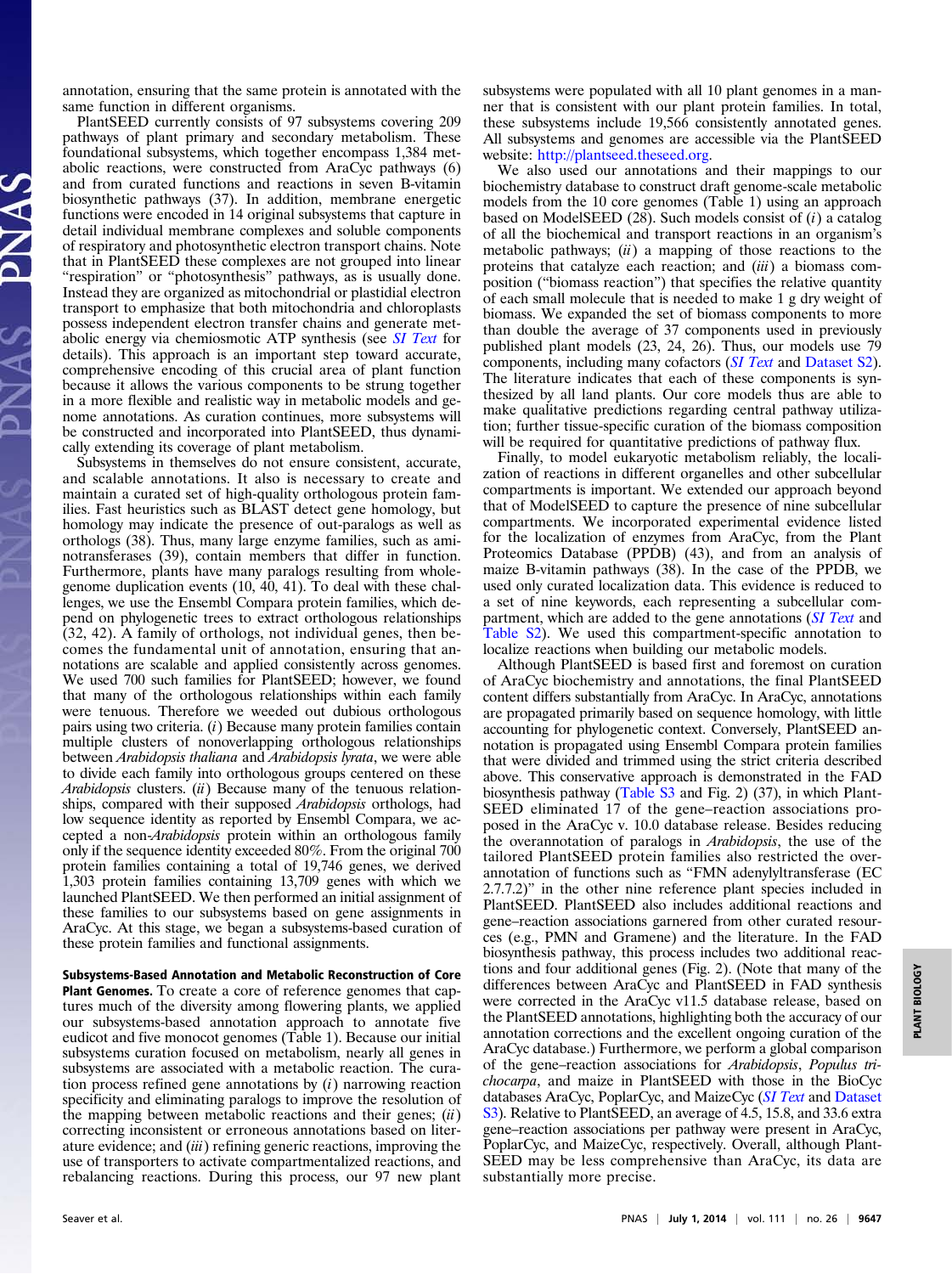annotation, ensuring that the same protein is annotated with the same function in different organisms.

PlantSEED currently consists of 97 subsystems covering 209 pathways of plant primary and secondary metabolism. These foundational subsystems, which together encompass 1,384 metabolic reactions, were constructed from AraCyc pathways (6) and from curated functions and reactions in seven B-vitamin biosynthetic pathways (37). In addition, membrane energetic functions were encoded in 14 original subsystems that capture in detail individual membrane complexes and soluble components of respiratory and photosynthetic electron transport chains. Note that in PlantSEED these complexes are not grouped into linear "respiration" or "photosynthesis" pathways, as is usually done. Instead they are organized as mitochondrial or plastidial electron transport to emphasize that both mitochondria and chloroplasts possess independent electron transfer chains and generate metabolic energy via chemiosmotic ATP synthesis (see [SI Text](http://www.pnas.org/lookup/suppl/doi:10.1073/pnas.1401329111/-/DCSupplemental/pnas.201401329SI.pdf?targetid=nameddest=STXT) for details). This approach is an important step toward accurate, comprehensive encoding of this crucial area of plant function because it allows the various components to be strung together in a more flexible and realistic way in metabolic models and genome annotations. As curation continues, more subsystems will be constructed and incorporated into PlantSEED, thus dynamically extending its coverage of plant metabolism.

Subsystems in themselves do not ensure consistent, accurate, and scalable annotations. It also is necessary to create and maintain a curated set of high-quality orthologous protein families. Fast heuristics such as BLAST detect gene homology, but homology may indicate the presence of out-paralogs as well as orthologs (38). Thus, many large enzyme families, such as aminotransferases (39), contain members that differ in function. Furthermore, plants have many paralogs resulting from wholegenome duplication events (10, 40, 41). To deal with these challenges, we use the Ensembl Compara protein families, which depend on phylogenetic trees to extract orthologous relationships (32, 42). A family of orthologs, not individual genes, then becomes the fundamental unit of annotation, ensuring that annotations are scalable and applied consistently across genomes. We used 700 such families for PlantSEED; however, we found that many of the orthologous relationships within each family were tenuous. Therefore we weeded out dubious orthologous pairs using two criteria. (i) Because many protein families contain multiple clusters of nonoverlapping orthologous relationships between Arabidopsis thaliana and Arabidopsis lyrata, we were able to divide each family into orthologous groups centered on these Arabidopsis clusters.  $(ii)$  Because many of the tenuous relationships, compared with their supposed *Arabidopsis* orthologs, had low sequence identity as reported by Ensembl Compara, we accepted a non-Arabidopsis protein within an orthologous family only if the sequence identity exceeded 80%. From the original 700 protein families containing a total of 19,746 genes, we derived 1,303 protein families containing 13,709 genes with which we launched PlantSEED. We then performed an initial assignment of these families to our subsystems based on gene assignments in AraCyc. At this stage, we began a subsystems-based curation of these protein families and functional assignments.

### Subsystems-Based Annotation and Metabolic Reconstruction of Core

Plant Genomes. To create a core of reference genomes that captures much of the diversity among flowering plants, we applied our subsystems-based annotation approach to annotate five eudicot and five monocot genomes (Table 1). Because our initial subsystems curation focused on metabolism, nearly all genes in subsystems are associated with a metabolic reaction. The curation process refined gene annotations by  $(i)$  narrowing reaction specificity and eliminating paralogs to improve the resolution of the mapping between metabolic reactions and their genes;  $(ii)$ correcting inconsistent or erroneous annotations based on literature evidence; and (iii) refining generic reactions, improving the use of transporters to activate compartmentalized reactions, and rebalancing reactions. During this process, our 97 new plant subsystems were populated with all 10 plant genomes in a manner that is consistent with our plant protein families. In total, these subsystems include 19,566 consistently annotated genes. All subsystems and genomes are accessible via the PlantSEED website: [http://plantseed.theseed.org.](http://plantseed.theseed.org)

We also used our annotations and their mappings to our biochemistry database to construct draft genome-scale metabolic models from the 10 core genomes (Table 1) using an approach based on ModelSEED  $(28)$ . Such models consist of  $(i)$  a catalog of all the biochemical and transport reactions in an organism's metabolic pathways;  $(ii)$  a mapping of those reactions to the proteins that catalyze each reaction; and  $(iii)$  a biomass composition ("biomass reaction") that specifies the relative quantity of each small molecule that is needed to make 1 g dry weight of biomass. We expanded the set of biomass components to more than double the average of 37 components used in previously published plant models (23, 24, 26). Thus, our models use 79 components, including many cofactors ([SI Text](http://www.pnas.org/lookup/suppl/doi:10.1073/pnas.1401329111/-/DCSupplemental/pnas.201401329SI.pdf?targetid=nameddest=STXT) and [Dataset S2](http://www.pnas.org/lookup/suppl/doi:10.1073/pnas.1401329111/-/DCSupplemental/pnas.1401329111.sd02.xlsx)). The literature indicates that each of these components is synthesized by all land plants. Our core models thus are able to make qualitative predictions regarding central pathway utilization; further tissue-specific curation of the biomass composition will be required for quantitative predictions of pathway flux.

Finally, to model eukaryotic metabolism reliably, the localization of reactions in different organelles and other subcellular compartments is important. We extended our approach beyond that of ModelSEED to capture the presence of nine subcellular compartments. We incorporated experimental evidence listed for the localization of enzymes from AraCyc, from the Plant Proteomics Database (PPDB) (43), and from an analysis of maize B-vitamin pathways (38). In the case of the PPDB, we used only curated localization data. This evidence is reduced to a set of nine keywords, each representing a subcellular com-partment, which are added to the gene annotations ([SI Text](http://www.pnas.org/lookup/suppl/doi:10.1073/pnas.1401329111/-/DCSupplemental/pnas.201401329SI.pdf?targetid=nameddest=STXT) and [Table S2\)](http://www.pnas.org/lookup/suppl/doi:10.1073/pnas.1401329111/-/DCSupplemental/pnas.201401329SI.pdf?targetid=nameddest=ST2). We used this compartment-specific annotation to localize reactions when building our metabolic models.

Although PlantSEED is based first and foremost on curation of AraCyc biochemistry and annotations, the final PlantSEED content differs substantially from AraCyc. In AraCyc, annotations are propagated primarily based on sequence homology, with little accounting for phylogenetic context. Conversely, PlantSEED annotation is propagated using Ensembl Compara protein families that were divided and trimmed using the strict criteria described above. This conservative approach is demonstrated in the FAD biosynthesis pathway [\(Table S3](http://www.pnas.org/lookup/suppl/doi:10.1073/pnas.1401329111/-/DCSupplemental/pnas.201401329SI.pdf?targetid=nameddest=ST3) and Fig. 2) (37), in which Plant-SEED eliminated 17 of the gene–reaction associations proposed in the AraCyc v. 10.0 database release. Besides reducing the overannotation of paralogs in Arabidopsis, the use of the tailored PlantSEED protein families also restricted the overannotation of functions such as "FMN adenylyltransferase (EC 2.7.7.2)" in the other nine reference plant species included in PlantSEED. PlantSEED also includes additional reactions and gene–reaction associations garnered from other curated resources (e.g., PMN and Gramene) and the literature. In the FAD biosynthesis pathway, this process includes two additional reactions and four additional genes (Fig. 2). (Note that many of the differences between AraCyc and PlantSEED in FAD synthesis were corrected in the AraCyc v11.5 database release, based on the PlantSEED annotations, highlighting both the accuracy of our annotation corrections and the excellent ongoing curation of the AraCyc database.) Furthermore, we perform a global comparison of the gene–reaction associations for Arabidopsis, Populus trichocarpa, and maize in PlantSEED with those in the BioCyc databases AraCyc, PoplarCyc, and MaizeCyc ([SI Text](http://www.pnas.org/lookup/suppl/doi:10.1073/pnas.1401329111/-/DCSupplemental/pnas.201401329SI.pdf?targetid=nameddest=STXT) and [Dataset](http://www.pnas.org/lookup/suppl/doi:10.1073/pnas.1401329111/-/DCSupplemental/pnas.1401329111.sd03.xlsx) [S3](http://www.pnas.org/lookup/suppl/doi:10.1073/pnas.1401329111/-/DCSupplemental/pnas.1401329111.sd03.xlsx)). Relative to PlantSEED, an average of 4.5, 15.8, and 33.6 extra gene–reaction associations per pathway were present in AraCyc, PoplarCyc, and MaizeCyc, respectively. Overall, although Plant-SEED may be less comprehensive than AraCyc, its data are substantially more precise.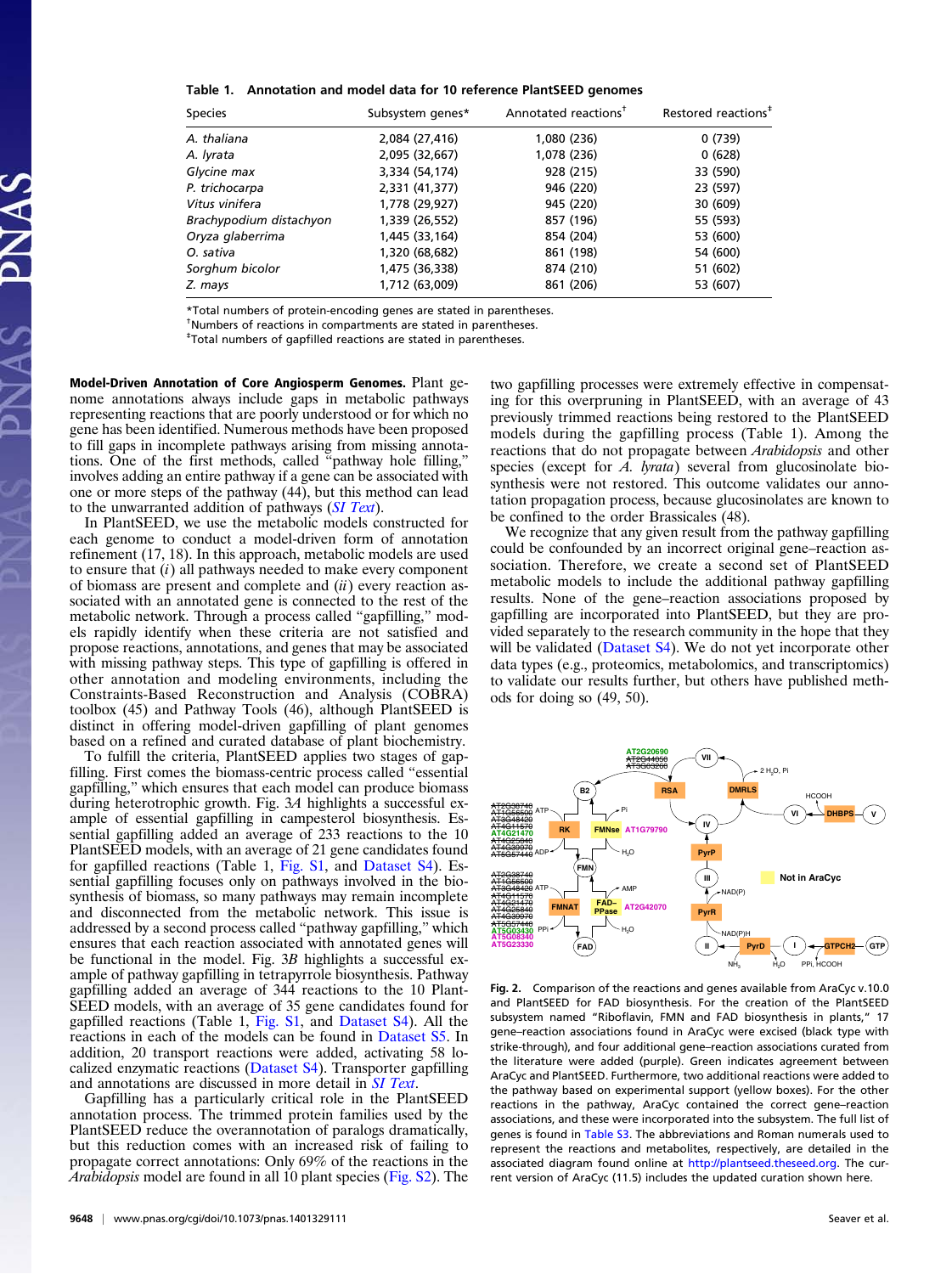|  | Table 1. Annotation and model data for 10 reference PlantSEED genomes |  |  |  |  |
|--|-----------------------------------------------------------------------|--|--|--|--|
|--|-----------------------------------------------------------------------|--|--|--|--|

| <b>Species</b>          | Subsystem genes* | Annotated reactions <sup>†</sup> | Restored reactions <sup>#</sup> |
|-------------------------|------------------|----------------------------------|---------------------------------|
| A. thaliana             | 2,084 (27,416)   | 1,080 (236)                      | 0(739)                          |
| A. Iyrata               | 2,095 (32,667)   | 1,078 (236)                      | 0(628)                          |
| Glycine max             | 3,334 (54,174)   | 928 (215)                        | 33 (590)                        |
| P. trichocarpa          | 2,331 (41,377)   | 946 (220)                        | 23 (597)                        |
| Vitus vinifera          | 1,778 (29,927)   | 945 (220)                        | 30 (609)                        |
| Brachypodium distachyon | 1,339 (26,552)   | 857 (196)                        | 55 (593)                        |
| Oryza glaberrima        | 1,445 (33,164)   | 854 (204)                        | 53 (600)                        |
| O. sativa               | 1,320 (68,682)   | 861 (198)                        | 54 (600)                        |
| Sorghum bicolor         | 1,475 (36,338)   | 874 (210)                        | 51 (602)                        |
| Z. mays                 | 1,712 (63,009)   | 861 (206)                        | 53 (607)                        |

\*Total numbers of protein-encoding genes are stated in parentheses.

† Numbers of reactions in compartments are stated in parentheses.

‡ Total numbers of gapfilled reactions are stated in parentheses.

Model-Driven Annotation of Core Angiosperm Genomes. Plant genome annotations always include gaps in metabolic pathways representing reactions that are poorly understood or for which no gene has been identified. Numerous methods have been proposed to fill gaps in incomplete pathways arising from missing annotations. One of the first methods, called "pathway hole filling," involves adding an entire pathway if a gene can be associated with one or more steps of the pathway (44), but this method can lead to the unwarranted addition of pathways (*[SI Text](http://www.pnas.org/lookup/suppl/doi:10.1073/pnas.1401329111/-/DCSupplemental/pnas.201401329SI.pdf?targetid=nameddest=STXT)*).

In PlantSEED, we use the metabolic models constructed for each genome to conduct a model-driven form of annotation refinement (17, 18). In this approach, metabolic models are used to ensure that  $(i)$  all pathways needed to make every component of biomass are present and complete and  $(ii)$  every reaction associated with an annotated gene is connected to the rest of the metabolic network. Through a process called "gapfilling," models rapidly identify when these criteria are not satisfied and propose reactions, annotations, and genes that may be associated with missing pathway steps. This type of gapfilling is offered in other annotation and modeling environments, including the Constraints-Based Reconstruction and Analysis (COBRA) toolbox (45) and Pathway Tools (46), although PlantSEED is distinct in offering model-driven gapfilling of plant genomes based on a refined and curated database of plant biochemistry.

To fulfill the criteria, PlantSEED applies two stages of gapfilling. First comes the biomass-centric process called "essential gapfilling," which ensures that each model can produce biomass during heterotrophic growth. Fig. 3A highlights a successful example of essential gapfilling in campesterol biosynthesis. Essential gapfilling added an average of 233 reactions to the 10 PlantSEED models, with an average of 21 gene candidates found for gapfilled reactions (Table 1, [Fig. S1,](http://www.pnas.org/lookup/suppl/doi:10.1073/pnas.1401329111/-/DCSupplemental/pnas.201401329SI.pdf?targetid=nameddest=SF1) and [Dataset S4](http://www.pnas.org/lookup/suppl/doi:10.1073/pnas.1401329111/-/DCSupplemental/pnas.1401329111.sd04.xlsx)). Essential gapfilling focuses only on pathways involved in the biosynthesis of biomass, so many pathways may remain incomplete and disconnected from the metabolic network. This issue is addressed by a second process called "pathway gapfilling," which ensures that each reaction associated with annotated genes will be functional in the model. Fig. 3B highlights a successful example of pathway gapfilling in tetrapyrrole biosynthesis. Pathway gapfilling added an average of 344 reactions to the 10 Plant-SEED models, with an average of 35 gene candidates found for gapfilled reactions (Table 1, [Fig. S1,](http://www.pnas.org/lookup/suppl/doi:10.1073/pnas.1401329111/-/DCSupplemental/pnas.201401329SI.pdf?targetid=nameddest=SF1) and [Dataset S4](http://www.pnas.org/lookup/suppl/doi:10.1073/pnas.1401329111/-/DCSupplemental/pnas.1401329111.sd04.xlsx)). All the reactions in each of the models can be found in [Dataset S5](http://www.pnas.org/lookup/suppl/doi:10.1073/pnas.1401329111/-/DCSupplemental/pnas.1401329111.sd05.xlsx). In addition, 20 transport reactions were added, activating 58 localized enzymatic reactions ([Dataset S4\)](http://www.pnas.org/lookup/suppl/doi:10.1073/pnas.1401329111/-/DCSupplemental/pnas.1401329111.sd04.xlsx). Transporter gapfilling and annotations are discussed in more detail in [SI Text](http://www.pnas.org/lookup/suppl/doi:10.1073/pnas.1401329111/-/DCSupplemental/pnas.201401329SI.pdf?targetid=nameddest=STXT).

Gapfilling has a particularly critical role in the PlantSEED annotation process. The trimmed protein families used by the PlantSEED reduce the overannotation of paralogs dramatically, but this reduction comes with an increased risk of failing to propagate correct annotations: Only 69% of the reactions in the Arabidopsis model are found in all 10 plant species ([Fig. S2\)](http://www.pnas.org/lookup/suppl/doi:10.1073/pnas.1401329111/-/DCSupplemental/pnas.201401329SI.pdf?targetid=nameddest=SF2). The two gapfilling processes were extremely effective in compensating for this overpruning in PlantSEED, with an average of 43 previously trimmed reactions being restored to the PlantSEED models during the gapfilling process (Table 1). Among the reactions that do not propagate between Arabidopsis and other species (except for A. lyrata) several from glucosinolate biosynthesis were not restored. This outcome validates our annotation propagation process, because glucosinolates are known to be confined to the order Brassicales (48).

We recognize that any given result from the pathway gapfilling could be confounded by an incorrect original gene–reaction association. Therefore, we create a second set of PlantSEED metabolic models to include the additional pathway gapfilling results. None of the gene–reaction associations proposed by gapfilling are incorporated into PlantSEED, but they are provided separately to the research community in the hope that they will be validated [\(Dataset S4](http://www.pnas.org/lookup/suppl/doi:10.1073/pnas.1401329111/-/DCSupplemental/pnas.1401329111.sd04.xlsx)). We do not yet incorporate other data types (e.g., proteomics, metabolomics, and transcriptomics) to validate our results further, but others have published methods for doing so (49, 50).



Fig. 2. Comparison of the reactions and genes available from AraCyc v.10.0 and PlantSEED for FAD biosynthesis. For the creation of the PlantSEED subsystem named "Riboflavin, FMN and FAD biosynthesis in plants," 17 gene–reaction associations found in AraCyc were excised (black type with strike-through), and four additional gene–reaction associations curated from the literature were added (purple). Green indicates agreement between AraCyc and PlantSEED. Furthermore, two additional reactions were added to the pathway based on experimental support (yellow boxes). For the other reactions in the pathway, AraCyc contained the correct gene–reaction associations, and these were incorporated into the subsystem. The full list of genes is found in [Table S3.](http://www.pnas.org/lookup/suppl/doi:10.1073/pnas.1401329111/-/DCSupplemental/pnas.201401329SI.pdf?targetid=nameddest=ST3) The abbreviations and Roman numerals used to represent the reactions and metabolites, respectively, are detailed in the associated diagram found online at <http://plantseed.theseed.org>. The current version of AraCyc (11.5) includes the updated curation shown here.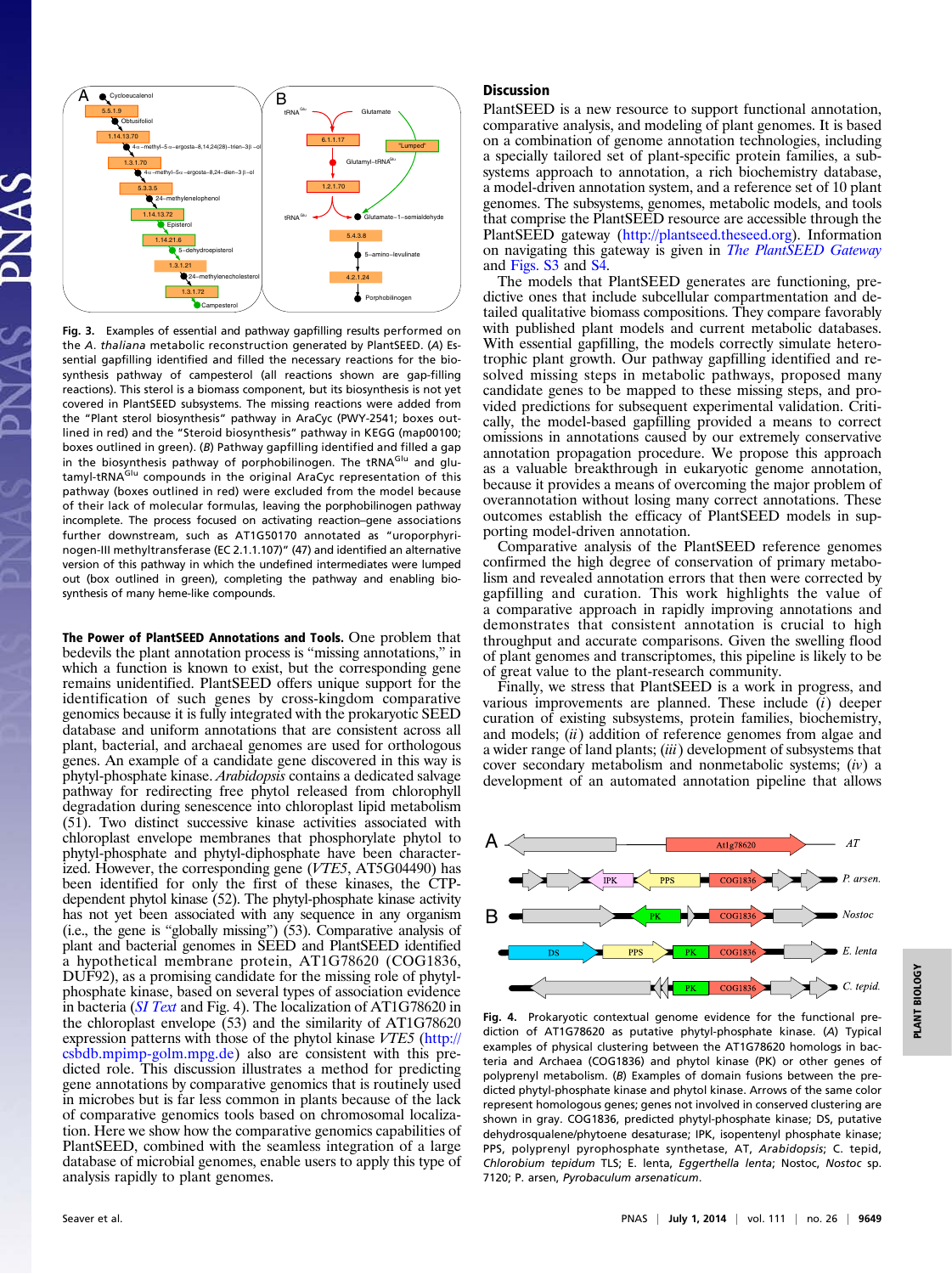

Fig. 3. Examples of essential and pathway gapfilling results performed on the A. thaliana metabolic reconstruction generated by PlantSEED. (A) Essential gapfilling identified and filled the necessary reactions for the biosynthesis pathway of campesterol (all reactions shown are gap-filling reactions). This sterol is a biomass component, but its biosynthesis is not yet covered in PlantSEED subsystems. The missing reactions were added from the "Plant sterol biosynthesis" pathway in AraCyc (PWY-2541; boxes outlined in red) and the "Steroid biosynthesis" pathway in KEGG (map00100; boxes outlined in green). (B) Pathway gapfilling identified and filled a gap in the biosynthesis pathway of porphobilinogen. The tRNA<sup>Glu</sup> and glutamyl-tRNA<sup>Glu</sup> compounds in the original AraCyc representation of this pathway (boxes outlined in red) were excluded from the model because of their lack of molecular formulas, leaving the porphobilinogen pathway incomplete. The process focused on activating reaction–gene associations further downstream, such as AT1G50170 annotated as "uroporphyrinogen-III methyltransferase (EC 2.1.1.107)" (47) and identified an alternative version of this pathway in which the undefined intermediates were lumped out (box outlined in green), completing the pathway and enabling biosynthesis of many heme-like compounds.

The Power of PlantSEED Annotations and Tools. One problem that bedevils the plant annotation process is "missing annotations," in which a function is known to exist, but the corresponding gene remains unidentified. PlantSEED offers unique support for the identification of such genes by cross-kingdom comparative genomics because it is fully integrated with the prokaryotic SEED database and uniform annotations that are consistent across all plant, bacterial, and archaeal genomes are used for orthologous genes. An example of a candidate gene discovered in this way is phytyl-phosphate kinase. Arabidopsis contains a dedicated salvage pathway for redirecting free phytol released from chlorophyll degradation during senescence into chloroplast lipid metabolism (51). Two distinct successive kinase activities associated with chloroplast envelope membranes that phosphorylate phytol to phytyl-phosphate and phytyl-diphosphate have been characterized. However, the corresponding gene (VTE5, AT5G04490) has been identified for only the first of these kinases, the CTPdependent phytol kinase (52). The phytyl-phosphate kinase activity has not yet been associated with any sequence in any organism (i.e., the gene is "globally missing") (53). Comparative analysis of plant and bacterial genomes in SEED and PlantSEED identified a hypothetical membrane protein, AT1G78620 (COG1836, DUF92), as a promising candidate for the missing role of phytylphosphate kinase, based on several types of association evidence in bacteria (*[SI Text](http://www.pnas.org/lookup/suppl/doi:10.1073/pnas.1401329111/-/DCSupplemental/pnas.201401329SI.pdf?targetid=nameddest=STXT)* and Fig. 4). The localization of AT1G78620 in the chloroplast envelope (53) and the similarity of AT1G78620 expression patterns with those of the phytol kinase VTE5 [\(http://](http://csbdb.mpimp-golm.mpg.de) [csbdb.mpimp-golm.mpg.de](http://csbdb.mpimp-golm.mpg.de)) also are consistent with this predicted role. This discussion illustrates a method for predicting gene annotations by comparative genomics that is routinely used in microbes but is far less common in plants because of the lack of comparative genomics tools based on chromosomal localization. Here we show how the comparative genomics capabilities of PlantSEED, combined with the seamless integration of a large database of microbial genomes, enable users to apply this type of analysis rapidly to plant genomes.

## Discussion

PlantSEED is a new resource to support functional annotation, comparative analysis, and modeling of plant genomes. It is based on a combination of genome annotation technologies, including a specially tailored set of plant-specific protein families, a subsystems approach to annotation, a rich biochemistry database, a model-driven annotation system, and a reference set of 10 plant genomes. The subsystems, genomes, metabolic models, and tools that comprise the PlantSEED resource are accessible through the PlantSEED gateway ([http://plantseed.theseed.org\)](http://plantseed.theseed.org). Information on navigating this gateway is given in *[The PlantSEED Gateway](http://www.pnas.org/lookup/suppl/doi:10.1073/pnas.1401329111/-/DCSupplemental/pnas.201401329SI.pdf?targetid=nameddest=STXT)* and [Figs. S3](http://www.pnas.org/lookup/suppl/doi:10.1073/pnas.1401329111/-/DCSupplemental/pnas.201401329SI.pdf?targetid=nameddest=SF3) and [S4.](http://www.pnas.org/lookup/suppl/doi:10.1073/pnas.1401329111/-/DCSupplemental/pnas.201401329SI.pdf?targetid=nameddest=SF4)

The models that PlantSEED generates are functioning, predictive ones that include subcellular compartmentation and detailed qualitative biomass compositions. They compare favorably with published plant models and current metabolic databases. With essential gapfilling, the models correctly simulate heterotrophic plant growth. Our pathway gapfilling identified and resolved missing steps in metabolic pathways, proposed many candidate genes to be mapped to these missing steps, and provided predictions for subsequent experimental validation. Critically, the model-based gapfilling provided a means to correct omissions in annotations caused by our extremely conservative annotation propagation procedure. We propose this approach as a valuable breakthrough in eukaryotic genome annotation, because it provides a means of overcoming the major problem of overannotation without losing many correct annotations. These outcomes establish the efficacy of PlantSEED models in supporting model-driven annotation.

Comparative analysis of the PlantSEED reference genomes confirmed the high degree of conservation of primary metabolism and revealed annotation errors that then were corrected by gapfilling and curation. This work highlights the value of a comparative approach in rapidly improving annotations and demonstrates that consistent annotation is crucial to high throughput and accurate comparisons. Given the swelling flood of plant genomes and transcriptomes, this pipeline is likely to be of great value to the plant-research community.

Finally, we stress that PlantSEED is a work in progress, and various improvements are planned. These include  $(i)$  deeper curation of existing subsystems, protein families, biochemistry, and models;  $(ii)$  addition of reference genomes from algae and a wider range of land plants; (iii) development of subsystems that cover secondary metabolism and nonmetabolic systems; (iv) a development of an automated annotation pipeline that allows



Fig. 4. Prokaryotic contextual genome evidence for the functional prediction of AT1G78620 as putative phytyl-phosphate kinase. (A) Typical examples of physical clustering between the AT1G78620 homologs in bacteria and Archaea (COG1836) and phytol kinase (PK) or other genes of polyprenyl metabolism. (B) Examples of domain fusions between the predicted phytyl-phosphate kinase and phytol kinase. Arrows of the same color represent homologous genes; genes not involved in conserved clustering are shown in gray. COG1836, predicted phytyl-phosphate kinase; DS, putative dehydrosqualene/phytoene desaturase; IPK, isopentenyl phosphate kinase; PPS, polyprenyl pyrophosphate synthetase, AT, Arabidopsis; C. tepid, Chlorobium tepidum TLS; E. lenta, Eggerthella lenta; Nostoc, Nostoc sp. 7120; P. arsen, Pyrobaculum arsenaticum.